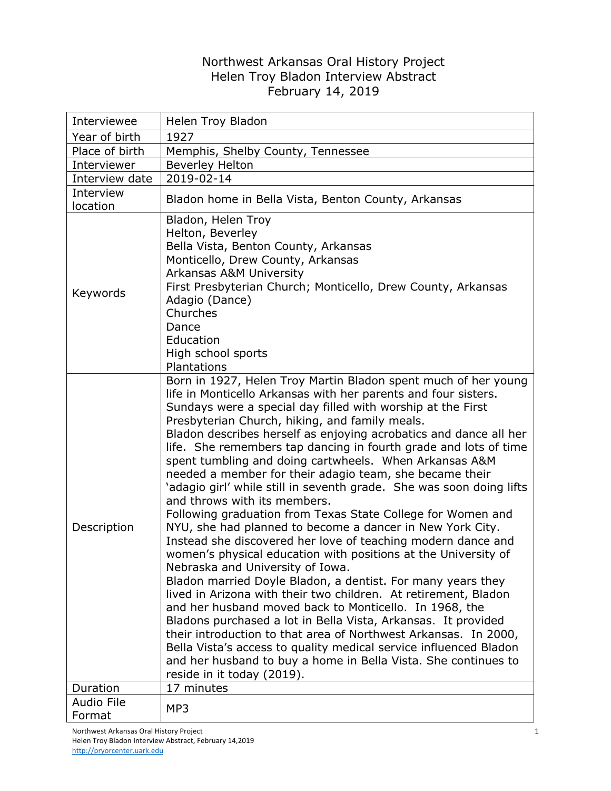## Northwest Arkansas Oral History Project Helen Troy Bladon Interview Abstract February 14, 2019

| Interviewee           | Helen Troy Bladon                                                                                                                                                                                                                                                                                                                                                                                                                                                                                                                                                                                                                                                                                                                                                                                                                                                                                                                                                                                                                                                                                                                                                                                                                                                                                                                                                                                                              |
|-----------------------|--------------------------------------------------------------------------------------------------------------------------------------------------------------------------------------------------------------------------------------------------------------------------------------------------------------------------------------------------------------------------------------------------------------------------------------------------------------------------------------------------------------------------------------------------------------------------------------------------------------------------------------------------------------------------------------------------------------------------------------------------------------------------------------------------------------------------------------------------------------------------------------------------------------------------------------------------------------------------------------------------------------------------------------------------------------------------------------------------------------------------------------------------------------------------------------------------------------------------------------------------------------------------------------------------------------------------------------------------------------------------------------------------------------------------------|
| Year of birth         | 1927                                                                                                                                                                                                                                                                                                                                                                                                                                                                                                                                                                                                                                                                                                                                                                                                                                                                                                                                                                                                                                                                                                                                                                                                                                                                                                                                                                                                                           |
| Place of birth        | Memphis, Shelby County, Tennessee                                                                                                                                                                                                                                                                                                                                                                                                                                                                                                                                                                                                                                                                                                                                                                                                                                                                                                                                                                                                                                                                                                                                                                                                                                                                                                                                                                                              |
| Interviewer           | <b>Beverley Helton</b>                                                                                                                                                                                                                                                                                                                                                                                                                                                                                                                                                                                                                                                                                                                                                                                                                                                                                                                                                                                                                                                                                                                                                                                                                                                                                                                                                                                                         |
| Interview date        | 2019-02-14                                                                                                                                                                                                                                                                                                                                                                                                                                                                                                                                                                                                                                                                                                                                                                                                                                                                                                                                                                                                                                                                                                                                                                                                                                                                                                                                                                                                                     |
| Interview<br>location | Bladon home in Bella Vista, Benton County, Arkansas                                                                                                                                                                                                                                                                                                                                                                                                                                                                                                                                                                                                                                                                                                                                                                                                                                                                                                                                                                                                                                                                                                                                                                                                                                                                                                                                                                            |
| Keywords              | Bladon, Helen Troy<br>Helton, Beverley<br>Bella Vista, Benton County, Arkansas<br>Monticello, Drew County, Arkansas<br><b>Arkansas A&amp;M University</b><br>First Presbyterian Church; Monticello, Drew County, Arkansas<br>Adagio (Dance)<br>Churches<br>Dance<br>Education<br>High school sports<br>Plantations                                                                                                                                                                                                                                                                                                                                                                                                                                                                                                                                                                                                                                                                                                                                                                                                                                                                                                                                                                                                                                                                                                             |
| Description           | Born in 1927, Helen Troy Martin Bladon spent much of her young<br>life in Monticello Arkansas with her parents and four sisters.<br>Sundays were a special day filled with worship at the First<br>Presbyterian Church, hiking, and family meals.<br>Bladon describes herself as enjoying acrobatics and dance all her<br>life. She remembers tap dancing in fourth grade and lots of time<br>spent tumbling and doing cartwheels. When Arkansas A&M<br>needed a member for their adagio team, she became their<br>'adagio girl' while still in seventh grade. She was soon doing lifts<br>and throws with its members.<br>Following graduation from Texas State College for Women and<br>NYU, she had planned to become a dancer in New York City.<br>Instead she discovered her love of teaching modern dance and<br>women's physical education with positions at the University of<br>Nebraska and University of Iowa.<br>Bladon married Doyle Bladon, a dentist. For many years they<br>lived in Arizona with their two children. At retirement, Bladon<br>and her husband moved back to Monticello. In 1968, the<br>Bladons purchased a lot in Bella Vista, Arkansas. It provided<br>their introduction to that area of Northwest Arkansas. In 2000,<br>Bella Vista's access to quality medical service influenced Bladon<br>and her husband to buy a home in Bella Vista. She continues to<br>reside in it today (2019). |
| Duration              | 17 minutes                                                                                                                                                                                                                                                                                                                                                                                                                                                                                                                                                                                                                                                                                                                                                                                                                                                                                                                                                                                                                                                                                                                                                                                                                                                                                                                                                                                                                     |
| Audio File<br>Format  | MP3                                                                                                                                                                                                                                                                                                                                                                                                                                                                                                                                                                                                                                                                                                                                                                                                                                                                                                                                                                                                                                                                                                                                                                                                                                                                                                                                                                                                                            |